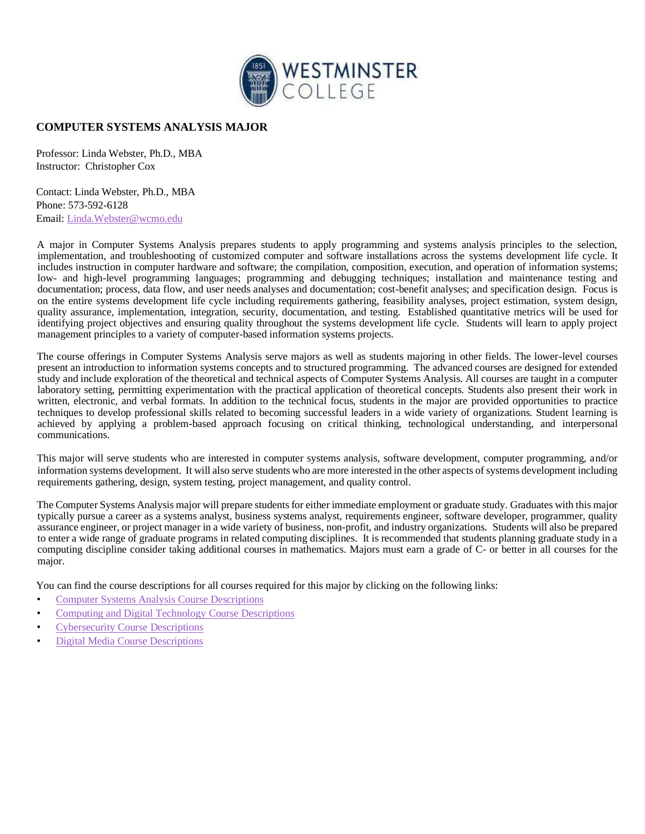

## **COMPUTER SYSTEMS ANALYSIS MAJOR**

Professor: Linda Webster, Ph.D., MBA Instructor: Christopher Cox

Contact: Linda Webster, Ph.D., MBA Phone: 573-592-6128 Email: Linda.Webster@wcmo.edu

A major in Computer Systems Analysis prepares students to apply programming and systems analysis principles to the selection, implementation, and troubleshooting of customized computer and software installations across the systems development life cycle. It includes instruction in computer hardware and software; the compilation, composition, execution, and operation of information systems; low- and high-level programming languages; programming and debugging techniques; installation and maintenance testing and documentation; process, data flow, and user needs analyses and documentation; cost-benefit analyses; and specification design. Focus is on the entire systems development life cycle including requirements gathering, feasibility analyses, project estimation, system design, quality assurance, implementation, integration, security, documentation, and testing. Established quantitative metrics will be used for identifying project objectives and ensuring quality throughout the systems development life cycle. Students will learn to apply project management principles to a variety of computer-based information systems projects.

The course offerings in Computer Systems Analysis serve majors as well as students majoring in other fields. The lower-level courses present an introduction to information systems concepts and to structured programming. The advanced courses are designed for extended study and include exploration of the theoretical and technical aspects of Computer Systems Analysis. All courses are taught in a computer laboratory setting, permitting experimentation with the practical application of theoretical concepts. Students also present their work in written, electronic, and verbal formats. In addition to the technical focus, students in the major are provided opportunities to practice techniques to develop professional skills related to becoming successful leaders in a wide variety of organizations. Student learning is achieved by applying a problem-based approach focusing on critical thinking, technological understanding, and interpersonal communications.

This major will serve students who are interested in computer systems analysis, software development, computer programming, and/or information systems development. It will also serve students who are more interested in the other aspects of systems development including requirements gathering, design, system testing, project management, and quality control.

The Computer Systems Analysis major will prepare students for either immediate employment or graduate study. Graduates with this major typically pursue a career as a systems analyst, business systems analyst, requirements engineer, software developer, programmer, quality assurance engineer, or project manager in a wide variety of business, non-profit, and industry organizations. Students will also be prepared to enter a wide range of graduate programs in related computing disciplines. It is recommended that students planning graduate study in a computing discipline consider taking additional courses in mathematics. Majors must earn a grade of C- or better in all courses for the major.

You can find the course descriptions for all courses required for this major by clicking on the following links:

- Computer Systems Analysis Course Descriptions
- Computing and Digital Technology Course Descriptions
- Cybersecurity Course Descriptions
- Digital Media Course Descriptions